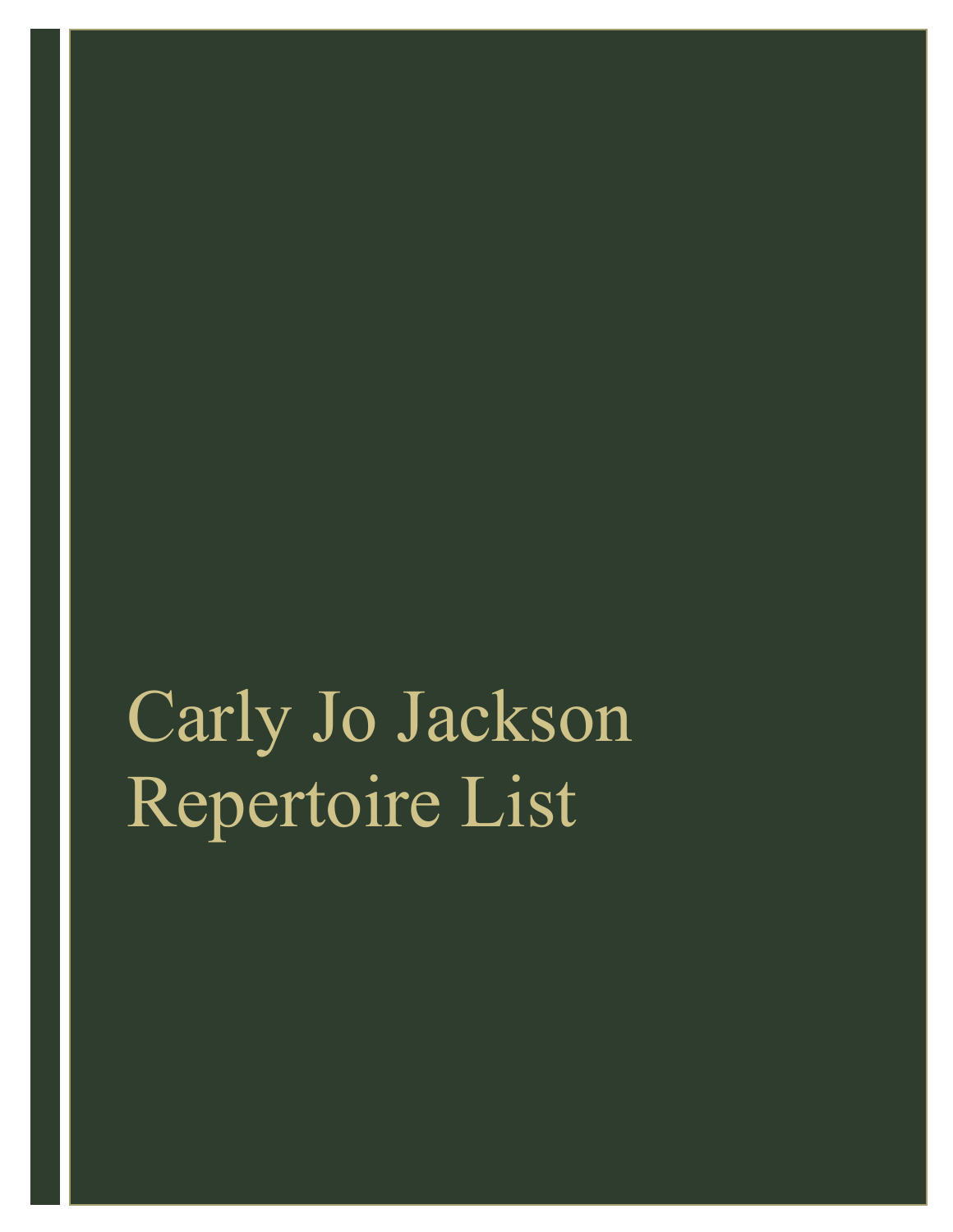## Carly Jo Jackson Repertoire List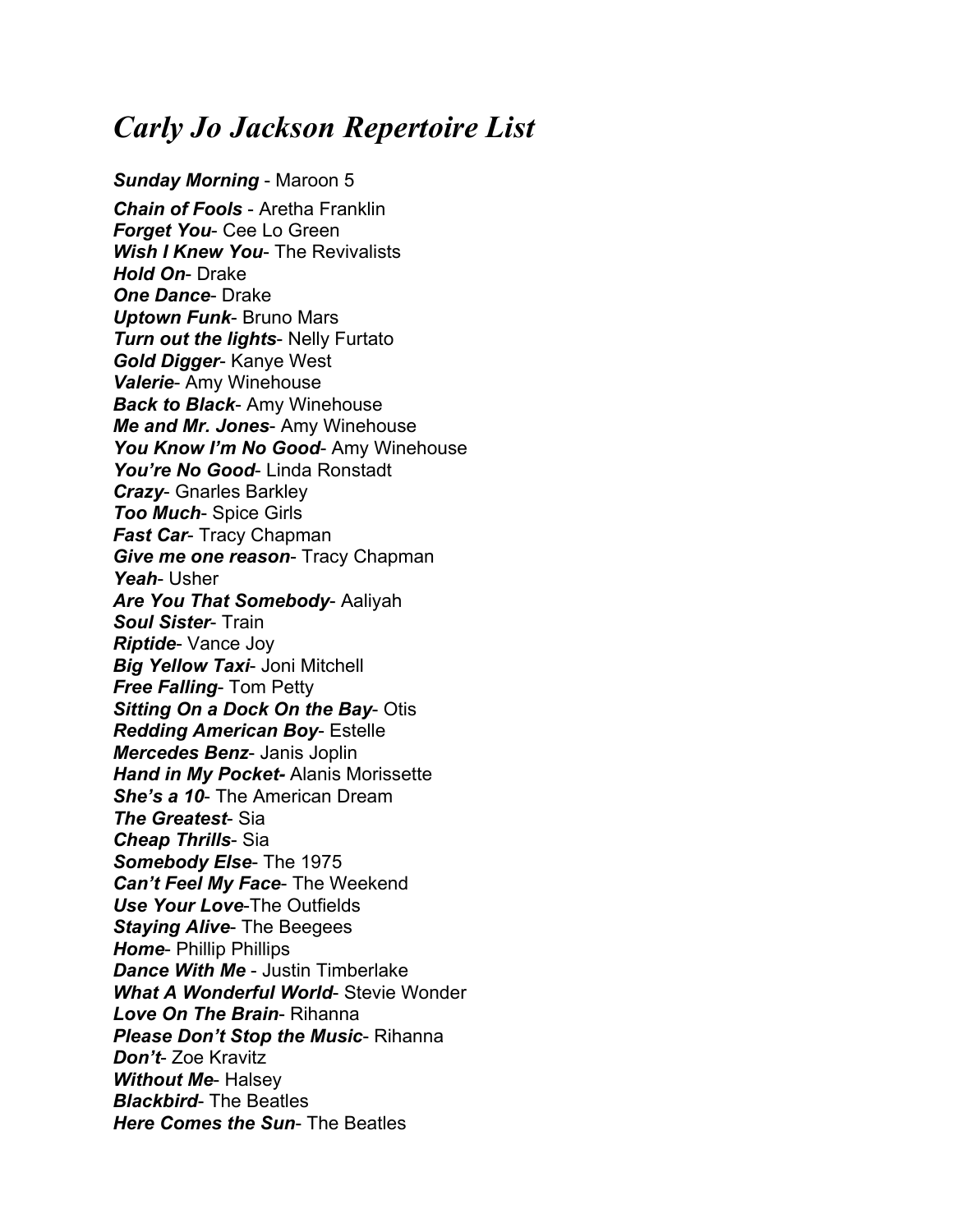## *Carly Jo Jackson Repertoire List*

*Sunday Morning* - Maroon 5 *Chain of Fools* - Aretha Franklin *Forget You*- Cee Lo Green *Wish I Knew You*- The Revivalists *Hold On*- Drake *One Dance*- Drake *Uptown Funk*- Bruno Mars *Turn out the lights*- Nelly Furtato *Gold Digger*- Kanye West *Valerie*- Amy Winehouse *Back to Black*- Amy Winehouse *Me and Mr. Jones*- Amy Winehouse *You Know I'm No Good*- Amy Winehouse *You're No Good*- Linda Ronstadt *Crazy*- Gnarles Barkley *Too Much*- Spice Girls *Fast Car*- Tracy Chapman *Give me one reason*- Tracy Chapman *Yeah*- Usher *Are You That Somebody*- Aaliyah *Soul Sister*- Train *Riptide*- Vance Joy *Big Yellow Taxi*- Joni Mitchell *Free Falling*- Tom Petty *Sitting On a Dock On the Bay*- Otis *Redding American Boy*- Estelle *Mercedes Benz*- Janis Joplin *Hand in My Pocket-* Alanis Morissette *She's a 10*- The American Dream *The Greatest*- Sia *Cheap Thrills*- Sia *Somebody Else*- The 1975 *Can't Feel My Face*- The Weekend *Use Your Love*-The Outfields *Staying Alive*- The Beegees *Home*- Phillip Phillips *Dance With Me* - Justin Timberlake *What A Wonderful World*- Stevie Wonder *Love On The Brain*- Rihanna *Please Don't Stop the Music*- Rihanna *Don't*- Zoe Kravitz *Without Me*- Halsey *Blackbird*- The Beatles *Here Comes the Sun*- The Beatles